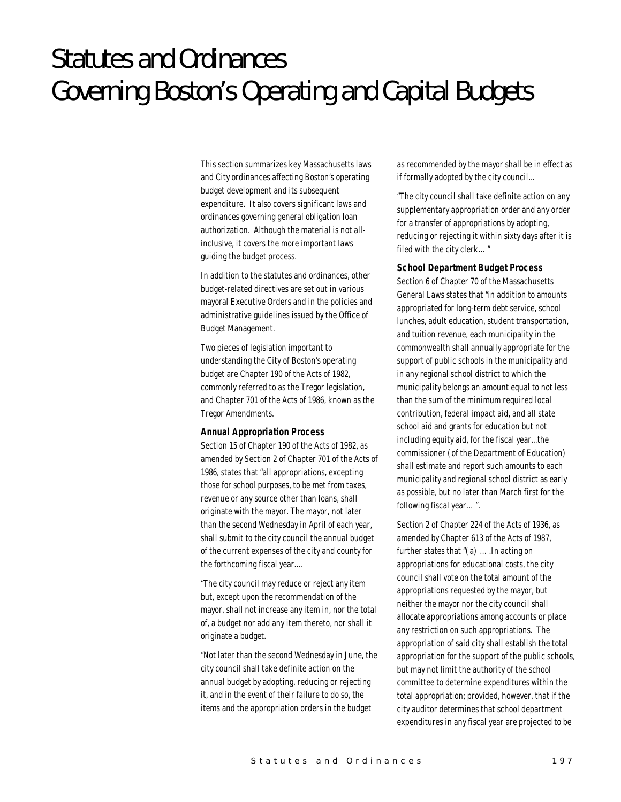# Statutes and Ordinances Governing Boston's Operating and Capital Budgets

This section summarizes key Massachusetts laws and City ordinances affecting Boston's operating budget development and its subsequent expenditure. It also covers significant laws and ordinances governing general obligation loan authorization. Although the material is not allinclusive, it covers the more important laws guiding the budget process.

In addition to the statutes and ordinances, other budget-related directives are set out in various mayoral Executive Orders and in the policies and administrative guidelines issued by the Office of Budget Management.

Two pieces of legislation important to understanding the City of Boston's operating budget are Chapter 190 of the Acts of 1982, commonly referred to as the Tregor legislation, and Chapter 701 of the Acts of 1986, known as the Tregor Amendments.

#### *Annual Appropriation Process*

Section 15 of Chapter 190 of the Acts of 1982, as amended by Section 2 of Chapter 701 of the Acts of 1986, states that "all appropriations, excepting those for school purposes, to be met from taxes, revenue or any source other than loans, shall originate with the mayor. The mayor, not later than the second Wednesday in April of each year, shall submit to the city council the annual budget of the current expenses of the city and county for the forthcoming fiscal year....

"The city council may reduce or reject any item but, except upon the recommendation of the mayor, shall not increase any item in, nor the total of, a budget nor add any item thereto, nor shall it originate a budget.

"Not later than the second Wednesday in June, the city council shall take definite action on the annual budget by adopting, reducing or rejecting it, and in the event of their failure to do so, the items and the appropriation orders in the budget

as recommended by the mayor shall be in effect as if formally adopted by the city council...

"The city council shall take definite action on any supplementary appropriation order and any order for a transfer of appropriations by adopting, reducing or rejecting it within sixty days after it is filed with the city clerk…"

#### *School Department Budget Process*

Section 6 of Chapter 70 of the Massachusetts General Laws states that "in addition to amounts appropriated for long-term debt service, school lunches, adult education, student transportation, and tuition revenue, each municipality in the commonwealth shall annually appropriate for the support of public schools in the municipality and in any regional school district to which the municipality belongs an amount equal to not less than the sum of the minimum required local contribution, federal impact aid, and all state school aid and grants for education but not including equity aid, for the fiscal year...the commissioner (of the Department of Education) shall estimate and report such amounts to each municipality and regional school district as early as possible, but no later than March first for the following fiscal year…".

Section 2 of Chapter 224 of the Acts of 1936, as amended by Chapter 613 of the Acts of 1987, further states that "(a) ….In acting on appropriations for educational costs, the city council shall vote on the total amount of the appropriations requested by the mayor, but neither the mayor nor the city council shall allocate appropriations among accounts or place any restriction on such appropriations. The appropriation of said city shall establish the total appropriation for the support of the public schools, but may not limit the authority of the school committee to determine expenditures within the total appropriation; provided, however, that if the city auditor determines that school department expenditures in any fiscal year are projected to be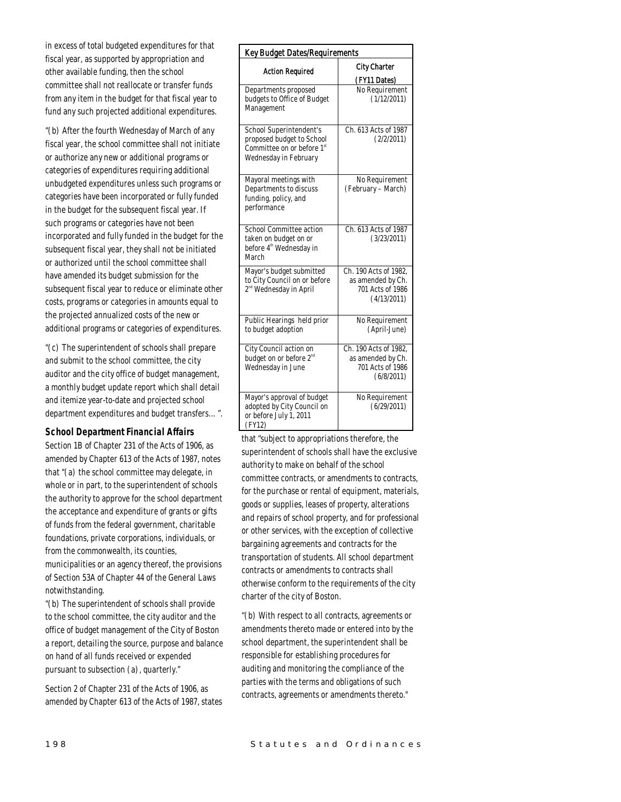in excess of total budgeted expenditures for that fiscal year, as supported by appropriation and other available funding, then the school committee shall not reallocate or transfer funds from any item in the budget for that fiscal year to fund any such projected additional expenditures.

"(b) After the fourth Wednesday of March of any fiscal year, the school committee shall not initiate or authorize any new or additional programs or categories of expenditures requiring additional unbudgeted expenditures unless such programs or categories have been incorporated or fully funded in the budget for the subsequent fiscal year. If such programs or categories have not been incorporated and fully funded in the budget for the subsequent fiscal year, they shall not be initiated or authorized until the school committee shall have amended its budget submission for the subsequent fiscal year to reduce or eliminate other costs, programs or categories in amounts equal to the projected annualized costs of the new or additional programs or categories of expenditures.

"(c) The superintendent of schools shall prepare and submit to the school committee, the city auditor and the city office of budget management, a monthly budget update report which shall detail and itemize year-to-date and projected school department expenditures and budget transfers…".

## *School Department Financial Affairs*

Section 1B of Chapter 231 of the Acts of 1906, as amended by Chapter 613 of the Acts of 1987, notes that "(a) the school committee may delegate, in whole or in part, to the superintendent of schools the authority to approve for the school department the acceptance and expenditure of grants or gifts of funds from the federal government, charitable foundations, private corporations, individuals, or from the commonwealth, its counties, municipalities or an agency thereof, the provisions of Section 53A of Chapter 44 of the General Laws

notwithstanding. "(b) The superintendent of schools shall provide to the school committee, the city auditor and the office of budget management of the City of Boston a report, detailing the source, purpose and balance on hand of all funds received or expended pursuant to subsection (a), quarterly."

Section 2 of Chapter 231 of the Acts of 1906, as amended by Chapter 613 of the Acts of 1987, states

| Key Budget Dates/Requirements                                                                               |                                                                               |
|-------------------------------------------------------------------------------------------------------------|-------------------------------------------------------------------------------|
| <b>Action Required</b>                                                                                      | <b>City Charter</b><br>(FY11 Dates)                                           |
| Departments proposed<br>budgets to Office of Budget<br>Management                                           | No Requirement<br>(1/12/2011)                                                 |
| School Superintendent's<br>proposed budget to School<br>Committee on or before 1st<br>Wednesday in February | Ch. 613 Acts of 1987<br>(2/2/2011)                                            |
| Mayoral meetings with<br>Departments to discuss<br>funding, policy, and<br>performance                      | No Requirement<br>(February – March)                                          |
| School Committee action<br>taken on budget on or<br>before $4^{\mbox{\tiny th}}$ Wednesday in<br>March      | Ch. 613 Acts of 1987<br>(3/23/2011)                                           |
| Mayor's budget submitted<br>to City Council on or before<br>2 <sup>nd</sup> Wednesday in April              | Ch. 190 Acts of 1982,<br>as amended by Ch.<br>701 Acts of 1986<br>(4/13/2011) |
| Public Hearings held prior<br>to budget adoption                                                            | No Requirement<br>(April-June)                                                |
| City Council action on<br>budget on or before 2 <sup>nd</sup><br>Wednesday in June                          | Ch. 190 Acts of 1982,<br>as amended by Ch.<br>701 Acts of 1986<br>(6/8/2011)  |
| Mayor's approval of budget<br>adopted by City Council on<br>or before July 1, 2011<br>(FY12)                | No Requirement<br>(6/29/2011)                                                 |

that "subject to appropriations therefore, the superintendent of schools shall have the exclusive authority to make on behalf of the school committee contracts, or amendments to contracts, for the purchase or rental of equipment, materials, goods or supplies, leases of property, alterations and repairs of school property, and for professional or other services, with the exception of collective bargaining agreements and contracts for the transportation of students. All school department contracts or amendments to contracts shall otherwise conform to the requirements of the city charter of the city of Boston.

"(b) With respect to all contracts, agreements or amendments thereto made or entered into by the school department, the superintendent shall be responsible for establishing procedures for auditing and monitoring the compliance of the parties with the terms and obligations of such contracts, agreements or amendments thereto."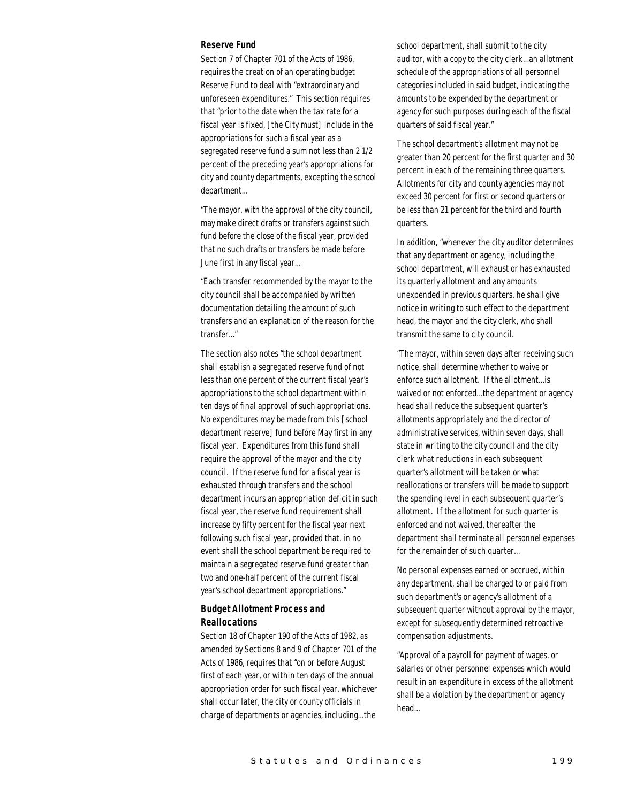#### *Reserve Fund*

Section 7 of Chapter 701 of the Acts of 1986, requires the creation of an operating budget Reserve Fund to deal with "extraordinary and unforeseen expenditures." This section requires that "prior to the date when the tax rate for a fiscal year is fixed, [the City must] include in the appropriations for such a fiscal year as a segregated reserve fund a sum not less than 2 1/2 percent of the preceding year's appropriations for city and county departments, excepting the school department...

"The mayor, with the approval of the city council, may make direct drafts or transfers against such fund before the close of the fiscal year, provided that no such drafts or transfers be made before June first in any fiscal year...

"Each transfer recommended by the mayor to the city council shall be accompanied by written documentation detailing the amount of such transfers and an explanation of the reason for the transfer..."

The section also notes "the school department shall establish a segregated reserve fund of not less than one percent of the current fiscal year's appropriations to the school department within ten days of final approval of such appropriations. No expenditures may be made from this [school department reserve] fund before May first in any fiscal year. Expenditures from this fund shall require the approval of the mayor and the city council. If the reserve fund for a fiscal year is exhausted through transfers and the school department incurs an appropriation deficit in such fiscal year, the reserve fund requirement shall increase by fifty percent for the fiscal year next following such fiscal year, provided that, in no event shall the school department be required to maintain a segregated reserve fund greater than two and one-half percent of the current fiscal year's school department appropriations."

## *Budget Allotment Process and Reallocations*

Section 18 of Chapter 190 of the Acts of 1982, as amended by Sections 8 and 9 of Chapter 701 of the Acts of 1986, requires that "on or before August first of each year, or within ten days of the annual appropriation order for such fiscal year, whichever shall occur later, the city or county officials in charge of departments or agencies, including...the

school department, shall submit to the city auditor, with a copy to the city clerk...an allotment schedule of the appropriations of all personnel categories included in said budget, indicating the amounts to be expended by the department or agency for such purposes during each of the fiscal quarters of said fiscal year."

The school department's allotment may not be greater than 20 percent for the first quarter and 30 percent in each of the remaining three quarters. Allotments for city and county agencies may not exceed 30 percent for first or second quarters or be less than 21 percent for the third and fourth quarters.

In addition, "whenever the city auditor determines that any department or agency, including the school department, will exhaust or has exhausted its quarterly allotment and any amounts unexpended in previous quarters, he shall give notice in writing to such effect to the department head, the mayor and the city clerk, who shall transmit the same to city council.

"The mayor, within seven days after receiving such notice, shall determine whether to waive or enforce such allotment. If the allotment...is waived or not enforced...the department or agency head shall reduce the subsequent quarter's allotments appropriately and the director of administrative services, within seven days, shall state in writing to the city council and the city clerk what reductions in each subsequent quarter's allotment will be taken or what reallocations or transfers will be made to support the spending level in each subsequent quarter's allotment. If the allotment for such quarter is enforced and not waived, thereafter the department shall terminate all personnel expenses for the remainder of such quarter...

No personal expenses earned or accrued, within any department, shall be charged to or paid from such department's or agency's allotment of a subsequent quarter without approval by the mayor, except for subsequently determined retroactive compensation adjustments.

"Approval of a payroll for payment of wages, or salaries or other personnel expenses which would result in an expenditure in excess of the allotment shall be a violation by the department or agency head...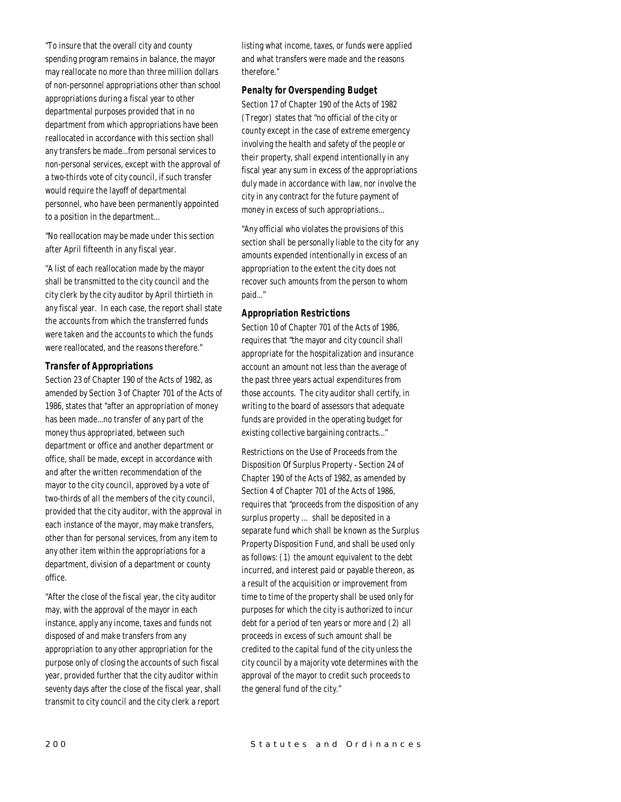"To insure that the overall city and county spending program remains in balance, the mayor may reallocate no more than three million dollars of non-personnel appropriations other than school appropriations during a fiscal year to other departmental purposes provided that in no department from which appropriations have been reallocated in accordance with this section shall any transfers be made...from personal services to non-personal services, except with the approval of a two-thirds vote of city council, if such transfer would require the layoff of departmental personnel, who have been permanently appointed to a position in the department...

"No reallocation may be made under this section after April fifteenth in any fiscal year.

"A list of each reallocation made by the mayor shall be transmitted to the city council and the city clerk by the city auditor by April thirtieth in any fiscal year. In each case, the report shall state the accounts from which the transferred funds were taken and the accounts to which the funds were reallocated, and the reasons therefore."

#### *Transfer of Appropriations*

Section 23 of Chapter 190 of the Acts of 1982, as amended by Section 3 of Chapter 701 of the Acts of 1986, states that "after an appropriation of money has been made...no transfer of any part of the money thus appropriated, between such department or office and another department or office, shall be made, except in accordance with and after the written recommendation of the mayor to the city council, approved by a vote of two-thirds of all the members of the city council, provided that the city auditor, with the approval in each instance of the mayor, may make transfers, other than for personal services, from any item to any other item within the appropriations for a department, division of a department or county office.

"After the close of the fiscal year, the city auditor may, with the approval of the mayor in each instance, apply any income, taxes and funds not disposed of and make transfers from any appropriation to any other appropriation for the purpose only of closing the accounts of such fiscal year, provided further that the city auditor within seventy days after the close of the fiscal year, shall transmit to city council and the city clerk a report

listing what income, taxes, or funds were applied and what transfers were made and the reasons therefore."

### *Penalty for Overspending Budget*

Section 17 of Chapter 190 of the Acts of 1982 (Tregor) states that "no official of the city or county except in the case of extreme emergency involving the health and safety of the people or their property, shall expend intentionally in any fiscal year any sum in excess of the appropriations duly made in accordance with law, nor involve the city in any contract for the future payment of money in excess of such appropriations...

"Any official who violates the provisions of this section shall be personally liable to the city for any amounts expended intentionally in excess of an appropriation to the extent the city does not recover such amounts from the person to whom paid..."

## *Appropriation Restrictions*

Section 10 of Chapter 701 of the Acts of 1986, requires that "the mayor and city council shall appropriate for the hospitalization and insurance account an amount not less than the average of the past three years actual expenditures from those accounts. The city auditor shall certify, in writing to the board of assessors that adequate funds are provided in the operating budget for existing collective bargaining contracts..."

Restrictions on the Use of Proceeds from the Disposition Of Surplus Property - Section 24 of Chapter 190 of the Acts of 1982, as amended by Section 4 of Chapter 701 of the Acts of 1986, requires that "proceeds from the disposition of any surplus property … shall be deposited in a separate fund which shall be known as the Surplus Property Disposition Fund, and shall be used only as follows: (1) the amount equivalent to the debt incurred, and interest paid or payable thereon, as a result of the acquisition or improvement from time to time of the property shall be used only for purposes for which the city is authorized to incur debt for a period of ten years or more and (2) all proceeds in excess of such amount shall be credited to the capital fund of the city unless the city council by a majority vote determines with the approval of the mayor to credit such proceeds to the general fund of the city."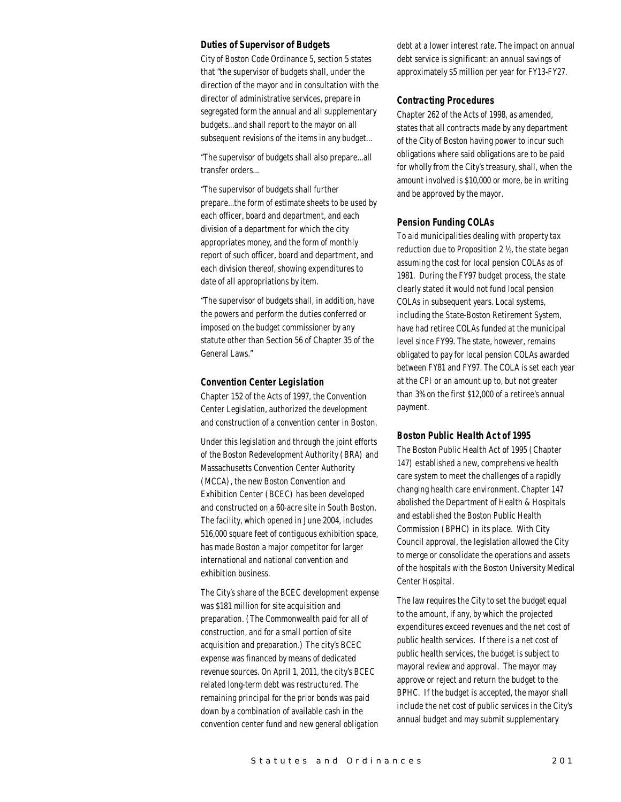#### *Duties of Supervisor of Budgets*

City of Boston Code Ordinance 5, section 5 states that "the supervisor of budgets shall, under the direction of the mayor and in consultation with the director of administrative services, prepare in segregated form the annual and all supplementary budgets...and shall report to the mayor on all subsequent revisions of the items in any budget...

"The supervisor of budgets shall also prepare...all transfer orders...

"The supervisor of budgets shall further prepare...the form of estimate sheets to be used by each officer, board and department, and each division of a department for which the city appropriates money, and the form of monthly report of such officer, board and department, and each division thereof, showing expenditures to date of all appropriations by item.

"The supervisor of budgets shall, in addition, have the powers and perform the duties conferred or imposed on the budget commissioner by any statute other than Section 56 of Chapter 35 of the General Laws."

#### *Convention Center Legislation*

Chapter 152 of the Acts of 1997, the Convention Center Legislation, authorized the development and construction of a convention center in Boston.

Under this legislation and through the joint efforts of the Boston Redevelopment Authority (BRA) and Massachusetts Convention Center Authority (MCCA), the new Boston Convention and Exhibition Center (BCEC) has been developed and constructed on a 60-acre site in South Boston. The facility, which opened in June 2004, includes 516,000 square feet of contiguous exhibition space, has made Boston a major competitor for larger international and national convention and exhibition business.

The City's share of the BCEC development expense was \$181 million for site acquisition and preparation. (The Commonwealth paid for all of construction, and for a small portion of site acquisition and preparation.) The city's BCEC expense was financed by means of dedicated revenue sources. On April 1, 2011, the city's BCEC related long-term debt was restructured. The remaining principal for the prior bonds was paid down by a combination of available cash in the convention center fund and new general obligation

debt at a lower interest rate. The impact on annual debt service is significant: an annual savings of approximately \$5 million per year for FY13-FY27.

#### *Contracting Procedures*

Chapter 262 of the Acts of 1998, as amended, states that all contracts made by any department of the City of Boston having power to incur such obligations where said obligations are to be paid for wholly from the City's treasury, shall, when the amount involved is \$10,000 or more, be in writing and be approved by the mayor.

#### *Pension Funding COLAs*

To aid municipalities dealing with property tax reduction due to Proposition 2 ½, the state began assuming the cost for local pension COLAs as of 1981. During the FY97 budget process, the state clearly stated it would not fund local pension COLAs in subsequent years. Local systems, including the State-Boston Retirement System, have had retiree COLAs funded at the municipal level since FY99. The state, however, remains obligated to pay for local pension COLAs awarded between FY81 and FY97. The COLA is set each year at the CPI or an amount up to, but not greater than 3% on the first \$12,000 of a retiree's annual payment.

#### *Boston Public Health Act of 1995*

The Boston Public Health Act of 1995 (Chapter 147) established a new, comprehensive health care system to meet the challenges of a rapidly changing health care environment. Chapter 147 abolished the Department of Health & Hospitals and established the Boston Public Health Commission (BPHC) in its place. With City Council approval, the legislation allowed the City to merge or consolidate the operations and assets of the hospitals with the Boston University Medical Center Hospital.

The law requires the City to set the budget equal to the amount, if any, by which the projected expenditures exceed revenues and the net cost of public health services. If there is a net cost of public health services, the budget is subject to mayoral review and approval. The mayor may approve or reject and return the budget to the BPHC. If the budget is accepted, the mayor shall include the net cost of public services in the City's annual budget and may submit supplementary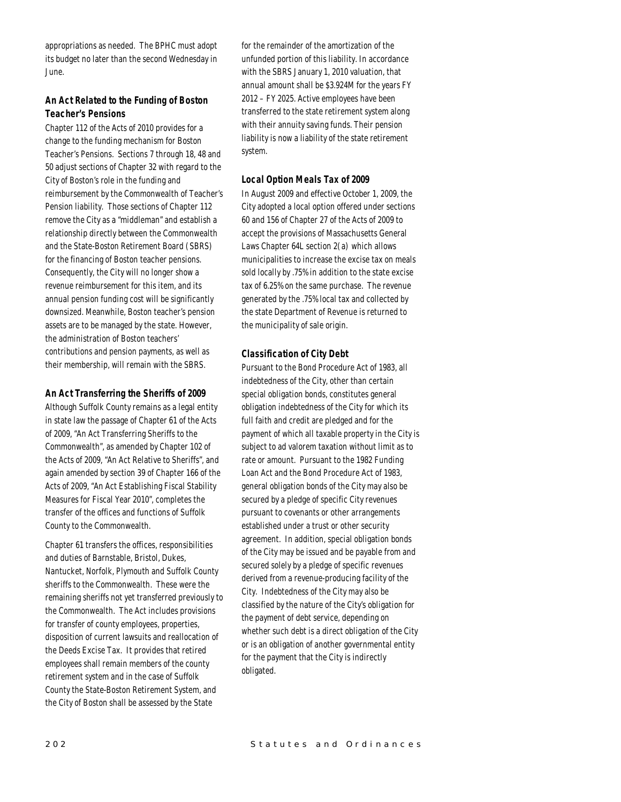appropriations as needed. The BPHC must adopt its budget no later than the second Wednesday in June.

# *An Act Related to the Funding of Boston Teacher's Pensions*

Chapter 112 of the Acts of 2010 provides for a change to the funding mechanism for Boston Teacher's Pensions. Sections 7 through 18, 48 and 50 adjust sections of Chapter 32 with regard to the City of Boston's role in the funding and reimbursement by the Commonwealth of Teacher's Pension liability. Those sections of Chapter 112 remove the City as a "middleman" and establish a relationship directly between the Commonwealth and the State-Boston Retirement Board (SBRS) for the financing of Boston teacher pensions. Consequently, the City will no longer show a revenue reimbursement for this item, and its annual pension funding cost will be significantly downsized. Meanwhile, Boston teacher's pension assets are to be managed by the state. However, the administration of Boston teachers' contributions and pension payments, as well as their membership, will remain with the SBRS.

## *An Act Transferring the Sheriffs of 2009*

Although Suffolk County remains as a legal entity in state law the passage of Chapter 61 of the Acts of 2009, "An Act Transferring Sheriffs to the Commonwealth", as amended by Chapter 102 of the Acts of 2009, "An Act Relative to Sheriffs", and again amended by section 39 of Chapter 166 of the Acts of 2009, "An Act Establishing Fiscal Stability Measures for Fiscal Year 2010", completes the transfer of the offices and functions of Suffolk County to the Commonwealth.

Chapter 61 transfers the offices, responsibilities and duties of Barnstable, Bristol, Dukes, Nantucket, Norfolk, Plymouth and Suffolk County sheriffs to the Commonwealth. These were the remaining sheriffs not yet transferred previously to the Commonwealth. The Act includes provisions for transfer of county employees, properties, disposition of current lawsuits and reallocation of the Deeds Excise Tax. It provides that retired employees shall remain members of the county retirement system and in the case of Suffolk County the State-Boston Retirement System, and the City of Boston shall be assessed by the State

for the remainder of the amortization of the unfunded portion of this liability. In accordance with the SBRS January 1, 2010 valuation, that annual amount shall be \$3.924M for the years FY 2012 – FY 2025. Active employees have been transferred to the state retirement system along with their annuity saving funds. Their pension liability is now a liability of the state retirement system.

# *Local Option Meals Tax of 2009*

In August 2009 and effective October 1, 2009, the City adopted a local option offered under sections 60 and 156 of Chapter 27 of the Acts of 2009 to accept the provisions of Massachusetts General Laws Chapter 64L section 2(a) which allows municipalities to increase the excise tax on meals sold locally by .75% in addition to the state excise tax of 6.25% on the same purchase. The revenue generated by the .75% local tax and collected by the state Department of Revenue is returned to the municipality of sale origin.

# *Classification of City Debt*

Pursuant to the Bond Procedure Act of 1983, all indebtedness of the City, other than certain special obligation bonds, constitutes general obligation indebtedness of the City for which its full faith and credit are pledged and for the payment of which all taxable property in the City is subject to ad valorem taxation without limit as to rate or amount. Pursuant to the 1982 Funding Loan Act and the Bond Procedure Act of 1983, general obligation bonds of the City may also be secured by a pledge of specific City revenues pursuant to covenants or other arrangements established under a trust or other security agreement. In addition, special obligation bonds of the City may be issued and be payable from and secured solely by a pledge of specific revenues derived from a revenue-producing facility of the City. Indebtedness of the City may also be classified by the nature of the City's obligation for the payment of debt service, depending on whether such debt is a direct obligation of the City or is an obligation of another governmental entity for the payment that the City is indirectly obligated.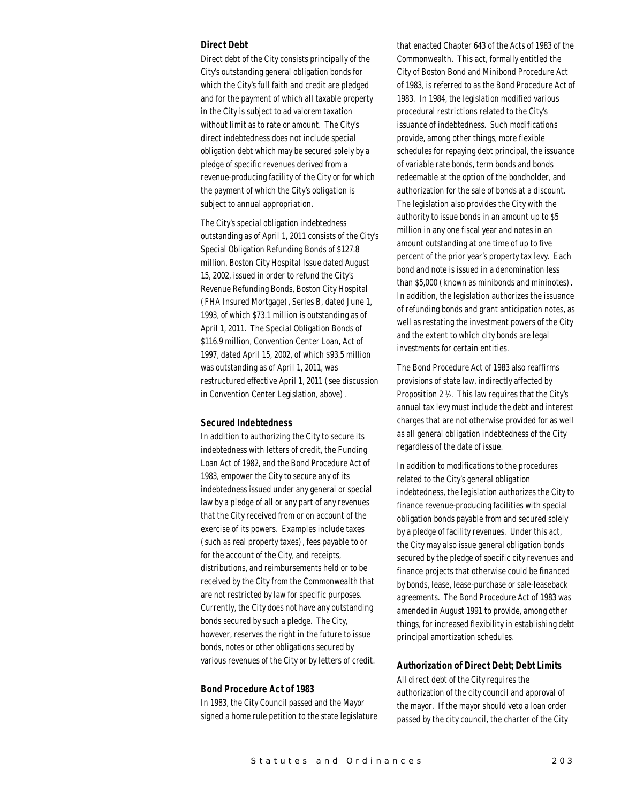#### *Direct Debt*

Direct debt of the City consists principally of the City's outstanding general obligation bonds for which the City's full faith and credit are pledged and for the payment of which all taxable property in the City is subject to ad valorem taxation without limit as to rate or amount. The City's direct indebtedness does not include special obligation debt which may be secured solely by a pledge of specific revenues derived from a revenue-producing facility of the City or for which the payment of which the City's obligation is subject to annual appropriation.

The City's special obligation indebtedness outstanding as of April 1, 2011 consists of the City's Special Obligation Refunding Bonds of \$127.8 million, Boston City Hospital Issue dated August 15, 2002, issued in order to refund the City's Revenue Refunding Bonds, Boston City Hospital (FHA Insured Mortgage), Series B, dated June 1, 1993, of which \$73.1 million is outstanding as of April 1, 2011. The Special Obligation Bonds of \$116.9 million, Convention Center Loan, Act of 1997, dated April 15, 2002, of which \$93.5 million was outstanding as of April 1, 2011, was restructured effective April 1, 2011 (see discussion in Convention Center Legislation, above).

#### *Secured Indebtedness*

In addition to authorizing the City to secure its indebtedness with letters of credit, the Funding Loan Act of 1982, and the Bond Procedure Act of 1983, empower the City to secure any of its indebtedness issued under any general or special law by a pledge of all or any part of any revenues that the City received from or on account of the exercise of its powers. Examples include taxes (such as real property taxes), fees payable to or for the account of the City, and receipts, distributions, and reimbursements held or to be received by the City from the Commonwealth that are not restricted by law for specific purposes. Currently, the City does not have any outstanding bonds secured by such a pledge. The City, however, reserves the right in the future to issue bonds, notes or other obligations secured by various revenues of the City or by letters of credit.

#### *Bond Procedure Act of 1983*

In 1983, the City Council passed and the Mayor signed a home rule petition to the state legislature

that enacted Chapter 643 of the Acts of 1983 of the Commonwealth. This act, formally entitled the City of Boston Bond and Minibond Procedure Act of 1983, is referred to as the Bond Procedure Act of 1983. In 1984, the legislation modified various procedural restrictions related to the City's issuance of indebtedness. Such modifications provide, among other things, more flexible schedules for repaying debt principal, the issuance of variable rate bonds, term bonds and bonds redeemable at the option of the bondholder, and authorization for the sale of bonds at a discount. The legislation also provides the City with the authority to issue bonds in an amount up to \$5 million in any one fiscal year and notes in an amount outstanding at one time of up to five percent of the prior year's property tax levy. Each bond and note is issued in a denomination less than \$5,000 (known as minibonds and mininotes). In addition, the legislation authorizes the issuance of refunding bonds and grant anticipation notes, as well as restating the investment powers of the City and the extent to which city bonds are legal investments for certain entities.

The Bond Procedure Act of 1983 also reaffirms provisions of state law, indirectly affected by Proposition 2 ½. This law requires that the City's annual tax levy must include the debt and interest charges that are not otherwise provided for as well as all general obligation indebtedness of the City regardless of the date of issue.

In addition to modifications to the procedures related to the City's general obligation indebtedness, the legislation authorizes the City to finance revenue-producing facilities with special obligation bonds payable from and secured solely by a pledge of facility revenues. Under this act, the City may also issue general obligation bonds secured by the pledge of specific city revenues and finance projects that otherwise could be financed by bonds, lease, lease-purchase or sale-leaseback agreements. The Bond Procedure Act of 1983 was amended in August 1991 to provide, among other things, for increased flexibility in establishing debt principal amortization schedules.

#### *Authorization of Direct Debt; Debt Limits*

All direct debt of the City requires the authorization of the city council and approval of the mayor. If the mayor should veto a loan order passed by the city council, the charter of the City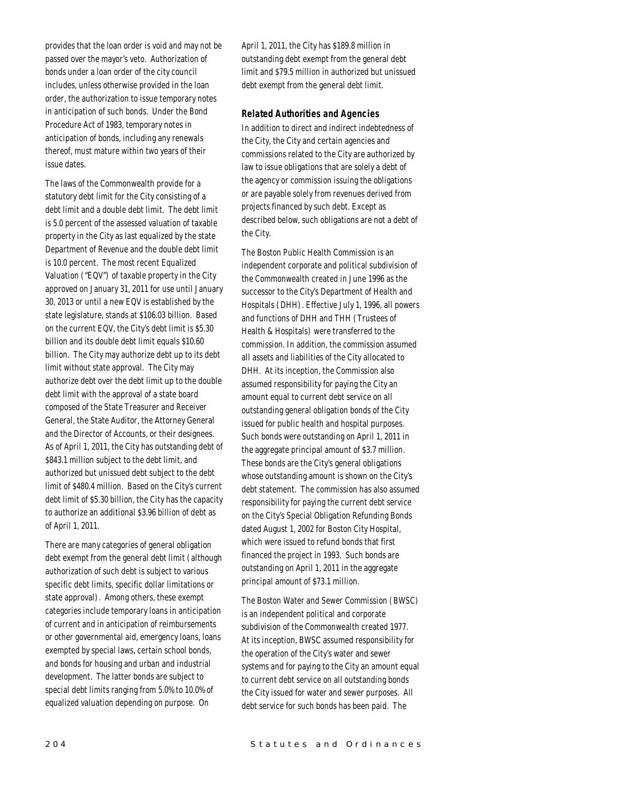provides that the loan order is void and may not be passed over the mayor's veto. Authorization of bonds under a loan order of the city council includes, unless otherwise provided in the loan order, the authorization to issue temporary notes in anticipation of such bonds. Under the Bond Procedure Act of 1983, temporary notes in anticipation of bonds, including any renewals thereof, must mature within two years of their issue dates.

The laws of the Commonwealth provide for a statutory debt limit for the City consisting of a debt limit and a double debt limit. The debt limit is 5.0 percent of the assessed valuation of taxable property in the City as last equalized by the state Department of Revenue and the double debt limit is 10.0 percent. The most recent Equalized Valuation ("EQV") of taxable property in the City approved on January 31, 2011 for use until January 30, 2013 or until a new EQV is established by the state legislature, stands at \$106.03 billion. Based on the current EQV, the City's debt limit is \$5.30 billion and its double debt limit equals \$10.60 billion. The City may authorize debt up to its debt limit without state approval. The City may authorize debt over the debt limit up to the double debt limit with the approval of a state board composed of the State Treasurer and Receiver General, the State Auditor, the Attorney General and the Director of Accounts, or their designees. As of April 1, 2011, the City has outstanding debt of \$843.1 million subject to the debt limit, and authorized but unissued debt subject to the debt limit of \$480.4 million. Based on the City's current debt limit of \$5.30 billion, the City has the capacity to authorize an additional \$3.96 billion of debt as of April 1, 2011.

There are many categories of general obligation debt exempt from the general debt limit (although authorization of such debt is subject to various specific debt limits, specific dollar limitations or state approval). Among others, these exempt categories include temporary loans in anticipation of current and in anticipation of reimbursements or other governmental aid, emergency loans, loans exempted by special laws, certain school bonds, and bonds for housing and urban and industrial development. The latter bonds are subject to special debt limits ranging from 5.0% to 10.0% of equalized valuation depending on purpose. On

April 1, 2011, the City has \$189.8 million in outstanding debt exempt from the general debt limit and \$79.5 million in authorized but unissued debt exempt from the general debt limit.

#### *Related Authorities and Agencies*

In addition to direct and indirect indebtedness of the City, the City and certain agencies and commissions related to the City are authorized by law to issue obligations that are solely a debt of the agency or commission issuing the obligations or are payable solely from revenues derived from projects financed by such debt. Except as described below, such obligations are not a debt of the City.

The Boston Public Health Commission is an independent corporate and political subdivision of the Commonwealth created in June 1996 as the successor to the City's Department of Health and Hospitals (DHH). Effective July 1, 1996, all powers and functions of DHH and THH (Trustees of Health & Hospitals) were transferred to the commission. In addition, the commission assumed all assets and liabilities of the City allocated to DHH. At its inception, the Commission also assumed responsibility for paying the City an amount equal to current debt service on all outstanding general obligation bonds of the City issued for public health and hospital purposes. Such bonds were outstanding on April 1, 2011 in the aggregate principal amount of \$3.7 million. These bonds are the City's general obligations whose outstanding amount is shown on the City's debt statement. The commission has also assumed responsibility for paying the current debt service on the City's Special Obligation Refunding Bonds dated August 1, 2002 for Boston City Hospital, which were issued to refund bonds that first financed the project in 1993. Such bonds are outstanding on April 1, 2011 in the aggregate principal amount of \$73.1 million.

The Boston Water and Sewer Commission (BWSC) is an independent political and corporate subdivision of the Commonwealth created 1977. At its inception, BWSC assumed responsibility for the operation of the City's water and sewer systems and for paying to the City an amount equal to current debt service on all outstanding bonds the City issued for water and sewer purposes. All debt service for such bonds has been paid. The